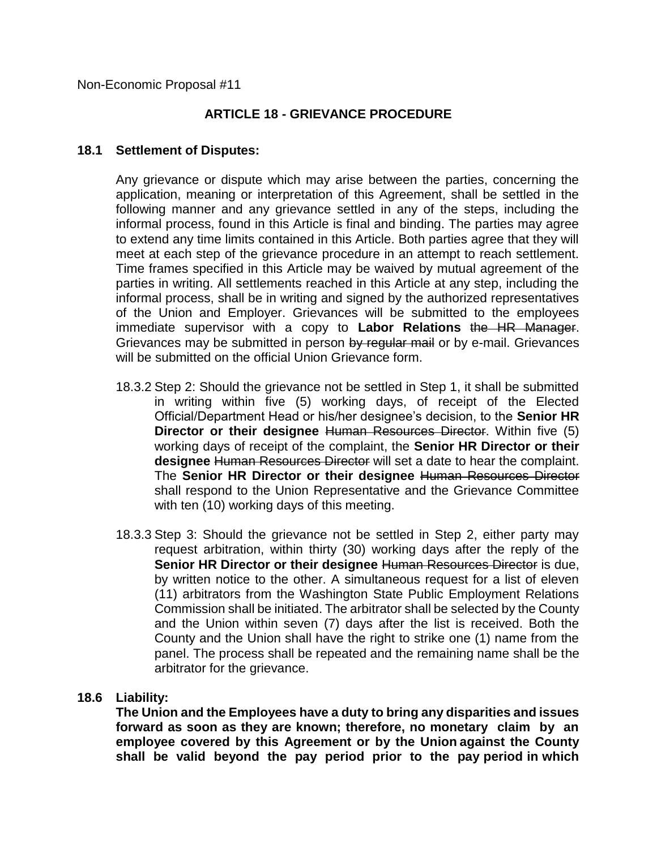Non-Economic Proposal #11

# **ARTICLE 18 - GRIEVANCE PROCEDURE**

### **18.1 Settlement of Disputes:**

Any grievance or dispute which may arise between the parties, concerning the application, meaning or interpretation of this Agreement, shall be settled in the following manner and any grievance settled in any of the steps, including the informal process, found in this Article is final and binding. The parties may agree to extend any time limits contained in this Article. Both parties agree that they will meet at each step of the grievance procedure in an attempt to reach settlement. Time frames specified in this Article may be waived by mutual agreement of the parties in writing. All settlements reached in this Article at any step, including the informal process, shall be in writing and signed by the authorized representatives of the Union and Employer. Grievances will be submitted to the employees immediate supervisor with a copy to **Labor Relations** the HR Manager. Grievances may be submitted in person by regular mail or by e-mail. Grievances will be submitted on the official Union Grievance form.

- 18.3.2 Step 2: Should the grievance not be settled in Step 1, it shall be submitted in writing within five (5) working days, of receipt of the Elected Official/Department Head or his/her designee's decision, to the **Senior HR Director or their designee** Human Resources Director. Within five (5) working days of receipt of the complaint, the **Senior HR Director or their designee** Human Resources Director will set a date to hear the complaint. The **Senior HR Director or their designee** Human Resources Director shall respond to the Union Representative and the Grievance Committee with ten (10) working days of this meeting.
- 18.3.3 Step 3: Should the grievance not be settled in Step 2, either party may request arbitration, within thirty (30) working days after the reply of the **Senior HR Director or their designee Human Resources Director is due,** by written notice to the other. A simultaneous request for a list of eleven (11) arbitrators from the Washington State Public Employment Relations Commission shall be initiated. The arbitrator shall be selected by the County and the Union within seven (7) days after the list is received. Both the County and the Union shall have the right to strike one (1) name from the panel. The process shall be repeated and the remaining name shall be the arbitrator for the grievance.

# **18.6 Liability:**

**The Union and the Employees have a duty to bring any disparities and issues forward as soon as they are known; therefore, no monetary claim by an employee covered by this Agreement or by the Union against the County shall be valid beyond the pay period prior to the pay period in which**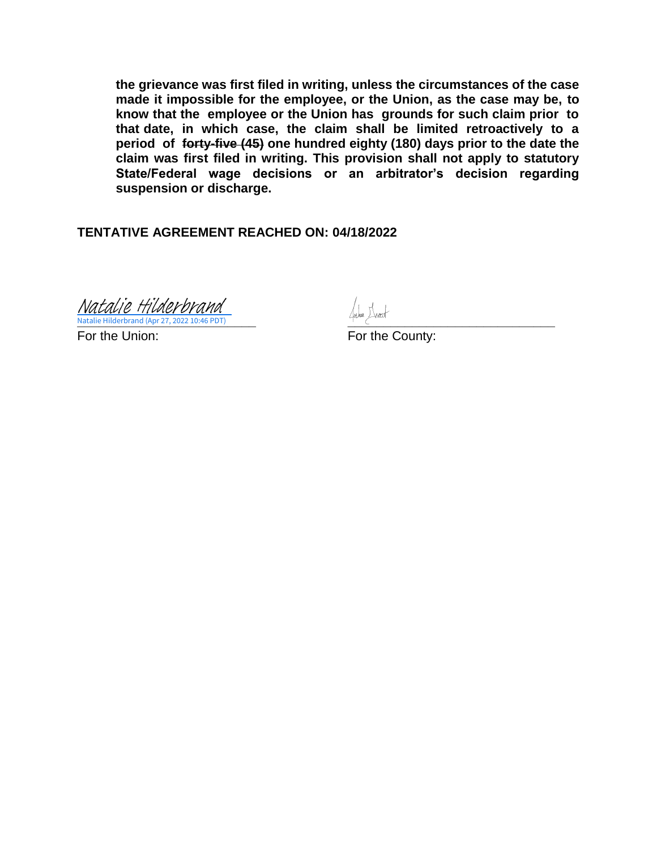**the grievance was first filed in writing, unless the circumstances of the case made it impossible for the employee, or the Union, as the case may be, to know that the employee or the Union has grounds for such claim prior to that date, in which case, the claim shall be limited retroactively to a period of forty-five (45) one hundred eighty (180) days prior to the date the claim was first filed in writing. This provision shall not apply to statutory State/Federal wage decisions or an arbitrator's decision regarding suspension or discharge.**

**TENTATIVE AGREEMENT REACHED ON: 04/18/2022**

**\_\_\_\_\_\_\_\_\_\_\_\_\_\_\_\_\_\_\_\_\_\_\_\_\_ [\\_\\_\\_\\_\\_\\_\\_\\_\\_\\_\\_\\_\\_\\_\\_\\_\\_\\_\\_\\_\\_\\_\\_\\_\\_\\_\\_\\_\\_](https://spokanecounty.na4.documents.adobe.com/verifier?tx=CBJCHBCAABAAs1-xNh6TCoJ0uXsAAAtEotCb0W-es8IE)** Natalie Hilderbrand (Apr 27, 2022 10:46 PDT) [Natalie Hilderbrand](https://spokanecounty.na4.documents.adobe.com/verifier?tx=CBJCHBCAABAAs1-xNh6TCoJ0uXsAAAtEotCb0W-es8IE)

For the Union: For the County: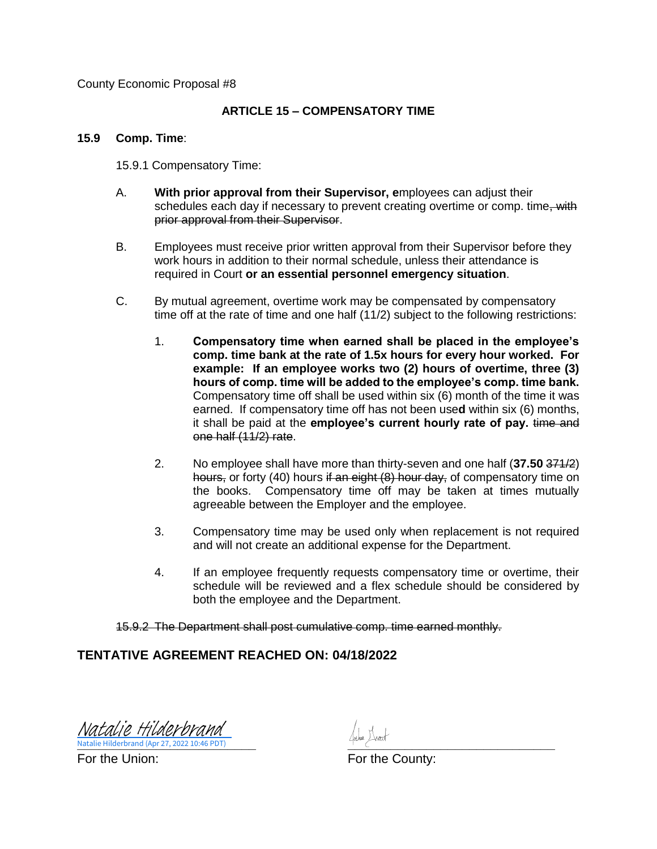County Economic Proposal #8

#### **ARTICLE 15 – COMPENSATORY TIME**

#### **15.9 Comp. Time**:

15.9.1 Compensatory Time:

- A. **With prior approval from their Supervisor, e**mployees can adjust their schedules each day if necessary to prevent creating overtime or comp. time, with prior approval from their Supervisor.
- B. Employees must receive prior written approval from their Supervisor before they work hours in addition to their normal schedule, unless their attendance is required in Court **or an essential personnel emergency situation**.
- C. By mutual agreement, overtime work may be compensated by compensatory time off at the rate of time and one half (11/2) subject to the following restrictions:
	- 1. **Compensatory time when earned shall be placed in the employee's comp. time bank at the rate of 1.5x hours for every hour worked. For example: If an employee works two (2) hours of overtime, three (3) hours of comp. time will be added to the employee's comp. time bank.**  Compensatory time off shall be used within six (6) month of the time it was earned. If compensatory time off has not been use**d** within six (6) months, it shall be paid at the **employee's current hourly rate of pay.** time and one half (11/2) rate.
	- 2. No employee shall have more than thirty-seven and one half (**37.50** 371/2) hours, or forty (40) hours if an eight (8) hour day, of compensatory time on the books. Compensatory time off may be taken at times mutually agreeable between the Employer and the employee.
	- 3. Compensatory time may be used only when replacement is not required and will not create an additional expense for the Department.
	- 4. If an employee frequently requests compensatory time or overtime, their schedule will be reviewed and a flex schedule should be considered by both the employee and the Department.

15.9.2 The Department shall post cumulative comp. time earned monthly.

# **TENTATIVE AGREEMENT REACHED ON: 04/18/2022**

**\_\_\_\_\_\_\_\_\_\_\_\_\_\_\_\_\_\_\_\_\_\_\_\_\_ [\\_\\_\\_\\_\\_\\_\\_\\_\\_\\_\\_\\_\\_\\_\\_\\_\\_\\_\\_\\_\\_\\_\\_\\_\\_\\_\\_\\_\\_](https://spokanecounty.na4.documents.adobe.com/verifier?tx=CBJCHBCAABAAs1-xNh6TCoJ0uXsAAAtEotCb0W-es8IE)** Natalie Hilderbrand (Apr 27, 2022 10:46 PDT) [Natalie Hilderbrand](https://spokanecounty.na4.documents.adobe.com/verifier?tx=CBJCHBCAABAAs1-xNh6TCoJ0uXsAAAtEotCb0W-es8IE)

Natalie Hilderbrand (Apr 27, 2022 10:46 PDT)<br>For the Union: For the County: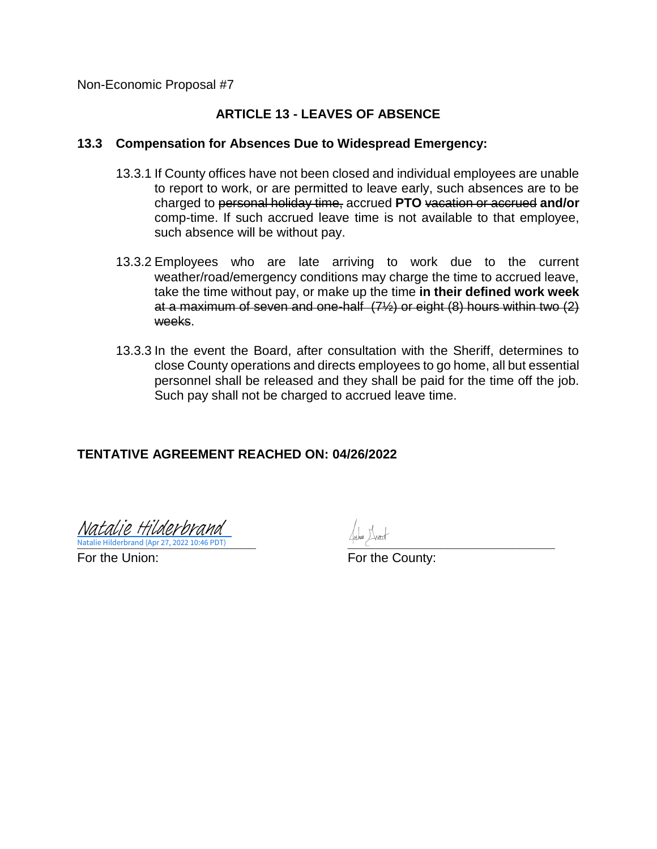Non-Economic Proposal #7

# **ARTICLE 13 - LEAVES OF ABSENCE**

#### **13.3 Compensation for Absences Due to Widespread Emergency:**

- 13.3.1 If County offices have not been closed and individual employees are unable to report to work, or are permitted to leave early, such absences are to be charged to personal holiday time, accrued **PTO** vacation or accrued **and/or**  comp-time. If such accrued leave time is not available to that employee, such absence will be without pay.
- 13.3.2 Employees who are late arriving to work due to the current weather/road/emergency conditions may charge the time to accrued leave, take the time without pay, or make up the time **in their defined work week** at a maximum of seven and one-half (7½) or eight (8) hours within two (2) weeks.
- 13.3.3 In the event the Board, after consultation with the Sheriff, determines to close County operations and directs employees to go home, all but essential personnel shall be released and they shall be paid for the time off the job. Such pay shall not be charged to accrued leave time.

# **TENTATIVE AGREEMENT REACHED ON: 04/26/2022**

**Natalie Hilderbrand (Apr 27, 2022 10:46 PDT)** And a series of the series of the series of the series of the series of the series of the series of the series of the series of the series of the series of the series of the s Natalie Hilderbrand (Apr 27, 2022 10:46 PDT) [Natalie Hilderbrand](https://spokanecounty.na4.documents.adobe.com/verifier?tx=CBJCHBCAABAAs1-xNh6TCoJ0uXsAAAtEotCb0W-es8IE)

For the Union: For the County: